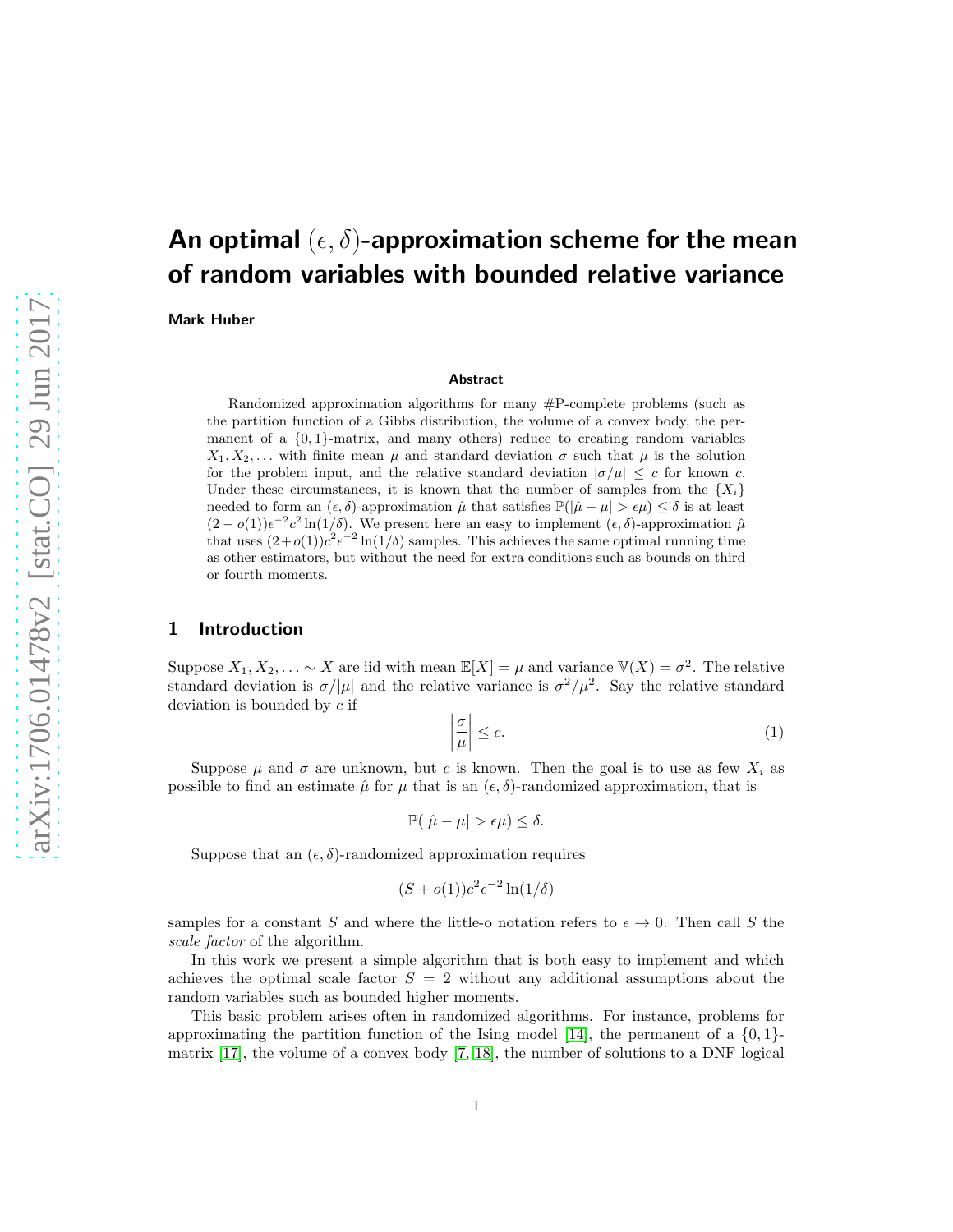# An optimal  $(\epsilon, \delta)$ -approximation scheme for the mean of random variables with bounded relative variance

Mark Huber

#### Abstract

Randomized approximation algorithms for many  $\#P$ -complete problems (such as the partition function of a Gibbs distribution, the volume of a convex body, the permanent of a  $\{0, 1\}$ -matrix, and many others) reduce to creating random variables  $X_1, X_2, \ldots$  with finite mean  $\mu$  and standard deviation  $\sigma$  such that  $\mu$  is the solution for the problem input, and the relative standard deviation  $|\sigma/\mu| \leq c$  for known c. Under these circumstances, it is known that the number of samples from the  ${X_i}$ needed to form an  $(\epsilon, \delta)$ -approximation  $\hat{\mu}$  that satisfies  $\mathbb{P}(|\hat{\mu} - \mu| > \epsilon \mu) \leq \delta$  is at least  $(2-o(1))\epsilon^{-2}c^2\ln(1/\delta)$ . We present here an easy to implement  $(\epsilon,\delta)$ -approximation  $\hat{\mu}$ that uses  $(2+o(1))c^2e^{-2}\ln(1/\delta)$  samples. This achieves the same optimal running time as other estimators, but without the need for extra conditions such as bounds on third or fourth moments.

### 1 Introduction

Suppose  $X_1, X_2, \ldots \sim X$  are iid with mean  $\mathbb{E}[X] = \mu$  and variance  $\mathbb{V}(X) = \sigma^2$ . The relative standard deviation is  $\sigma/|\mu|$  and the relative variance is  $\sigma^2/\mu^2$ . Say the relative standard deviation is bounded by c if

<span id="page-0-0"></span>
$$
\left|\frac{\sigma}{\mu}\right| \leq c. \tag{1}
$$

Suppose  $\mu$  and  $\sigma$  are unknown, but c is known. Then the goal is to use as few  $X_i$  as possible to find an estimate  $\hat{\mu}$  for  $\mu$  that is an  $(\epsilon, \delta)$ -randomized approximation, that is

$$
\mathbb{P}(|\hat{\mu} - \mu| > \epsilon \mu) \le \delta.
$$

Suppose that an  $(\epsilon, \delta)$ -randomized approximation requires

$$
(S + o(1))c^2 \epsilon^{-2} \ln(1/\delta)
$$

samples for a constant S and where the little-o notation refers to  $\epsilon \to 0$ . Then call S the scale factor of the algorithm.

In this work we present a simple algorithm that is both easy to implement and which achieves the optimal scale factor  $S = 2$  without any additional assumptions about the random variables such as bounded higher moments.

This basic problem arises often in randomized algorithms. For instance, problems for approximating the partition function of the Ising model [\[14\]](#page-10-0), the permanent of a  $\{0, 1\}$ matrix [\[17\]](#page-11-0), the volume of a convex body [\[7,](#page-10-1) [18\]](#page-11-1), the number of solutions to a DNF logical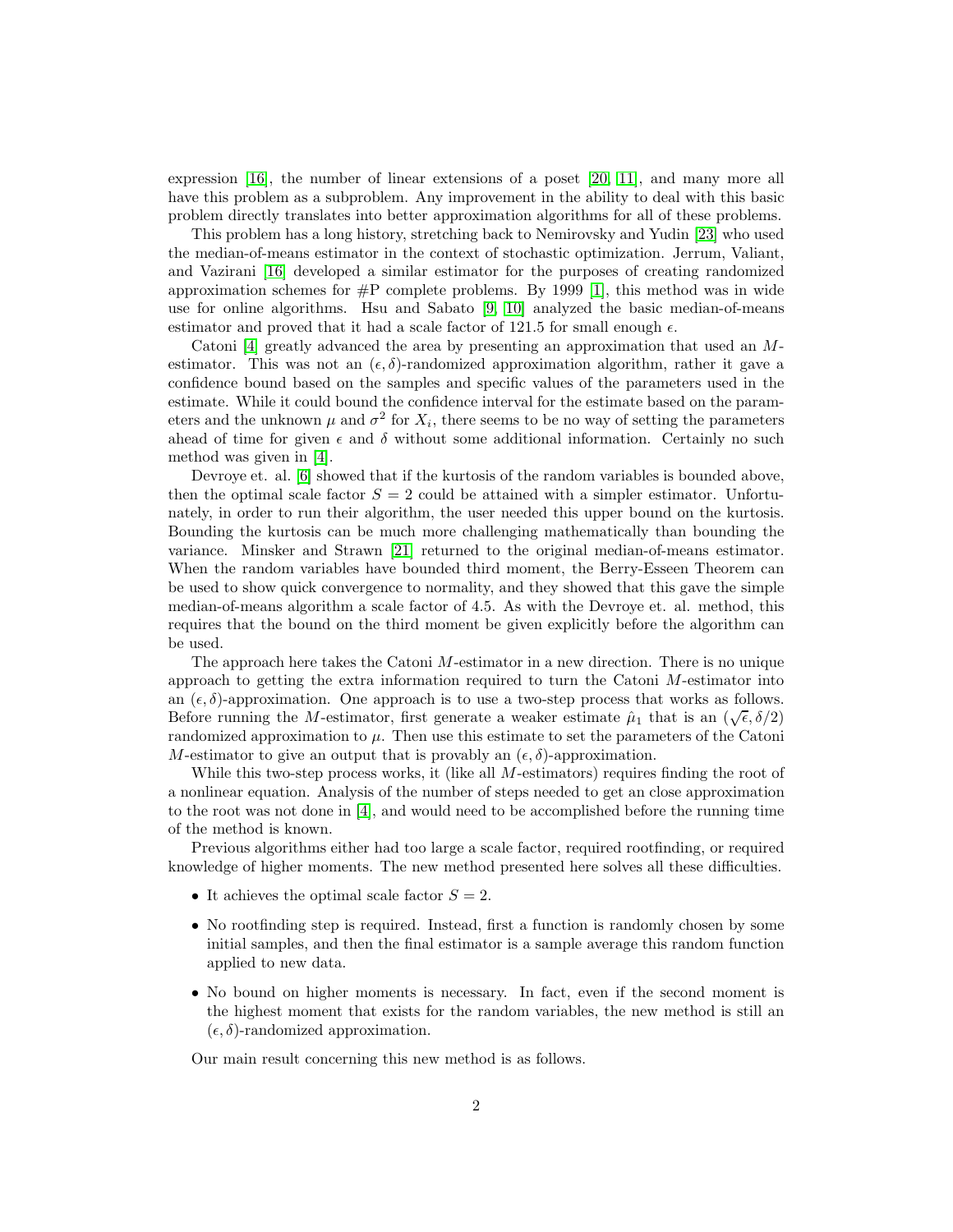expression [\[16\]](#page-11-2), the number of linear extensions of a poset [\[20,](#page-11-3) [11\]](#page-10-2), and many more all have this problem as a subproblem. Any improvement in the ability to deal with this basic problem directly translates into better approximation algorithms for all of these problems.

This problem has a long history, stretching back to Nemirovsky and Yudin [\[23\]](#page-11-4) who used the median-of-means estimator in the context of stochastic optimization. Jerrum, Valiant, and Vazirani [\[16\]](#page-11-2) developed a similar estimator for the purposes of creating randomized approximation schemes for  $\#P$  complete problems. By 1999 [\[1\]](#page-10-3), this method was in wide use for online algorithms. Hsu and Sabato [\[9,](#page-10-4) [10\]](#page-10-5) analyzed the basic median-of-means estimator and proved that it had a scale factor of 121.5 for small enough  $\epsilon$ .

Catoni [\[4\]](#page-10-6) greatly advanced the area by presenting an approximation that used an Mestimator. This was not an  $(\epsilon, \delta)$ -randomized approximation algorithm, rather it gave a confidence bound based on the samples and specific values of the parameters used in the estimate. While it could bound the confidence interval for the estimate based on the parameters and the unknown  $\mu$  and  $\sigma^2$  for  $X_i$ , there seems to be no way of setting the parameters ahead of time for given  $\epsilon$  and  $\delta$  without some additional information. Certainly no such method was given in [\[4\]](#page-10-6).

Devroye et. al. [\[6\]](#page-10-7) showed that if the kurtosis of the random variables is bounded above, then the optimal scale factor  $S = 2$  could be attained with a simpler estimator. Unfortunately, in order to run their algorithm, the user needed this upper bound on the kurtosis. Bounding the kurtosis can be much more challenging mathematically than bounding the variance. Minsker and Strawn [\[21\]](#page-11-5) returned to the original median-of-means estimator. When the random variables have bounded third moment, the Berry-Esseen Theorem can be used to show quick convergence to normality, and they showed that this gave the simple median-of-means algorithm a scale factor of 4.5. As with the Devroye et. al. method, this requires that the bound on the third moment be given explicitly before the algorithm can be used.

The approach here takes the Catoni M-estimator in a new direction. There is no unique approach to getting the extra information required to turn the Catoni  $M$ -estimator into an  $(\epsilon, \delta)$ -approximation. One approach is to use a two-step process that works as follows. Before running the M-estimator, first generate a weaker estimate  $\hat{\mu}_1$  that is an  $(\sqrt{\epsilon}, \delta/2)$ randomized approximation to  $\mu$ . Then use this estimate to set the parameters of the Catoni M-estimator to give an output that is provably an  $(\epsilon, \delta)$ -approximation.

While this two-step process works, it (like all  $M$ -estimators) requires finding the root of a nonlinear equation. Analysis of the number of steps needed to get an close approximation to the root was not done in [\[4\]](#page-10-6), and would need to be accomplished before the running time of the method is known.

Previous algorithms either had too large a scale factor, required rootfinding, or required knowledge of higher moments. The new method presented here solves all these difficulties.

- It achieves the optimal scale factor  $S = 2$ .
- No rootfinding step is required. Instead, first a function is randomly chosen by some initial samples, and then the final estimator is a sample average this random function applied to new data.
- No bound on higher moments is necessary. In fact, even if the second moment is the highest moment that exists for the random variables, the new method is still an  $(\epsilon, \delta)$ -randomized approximation.

Our main result concerning this new method is as follows.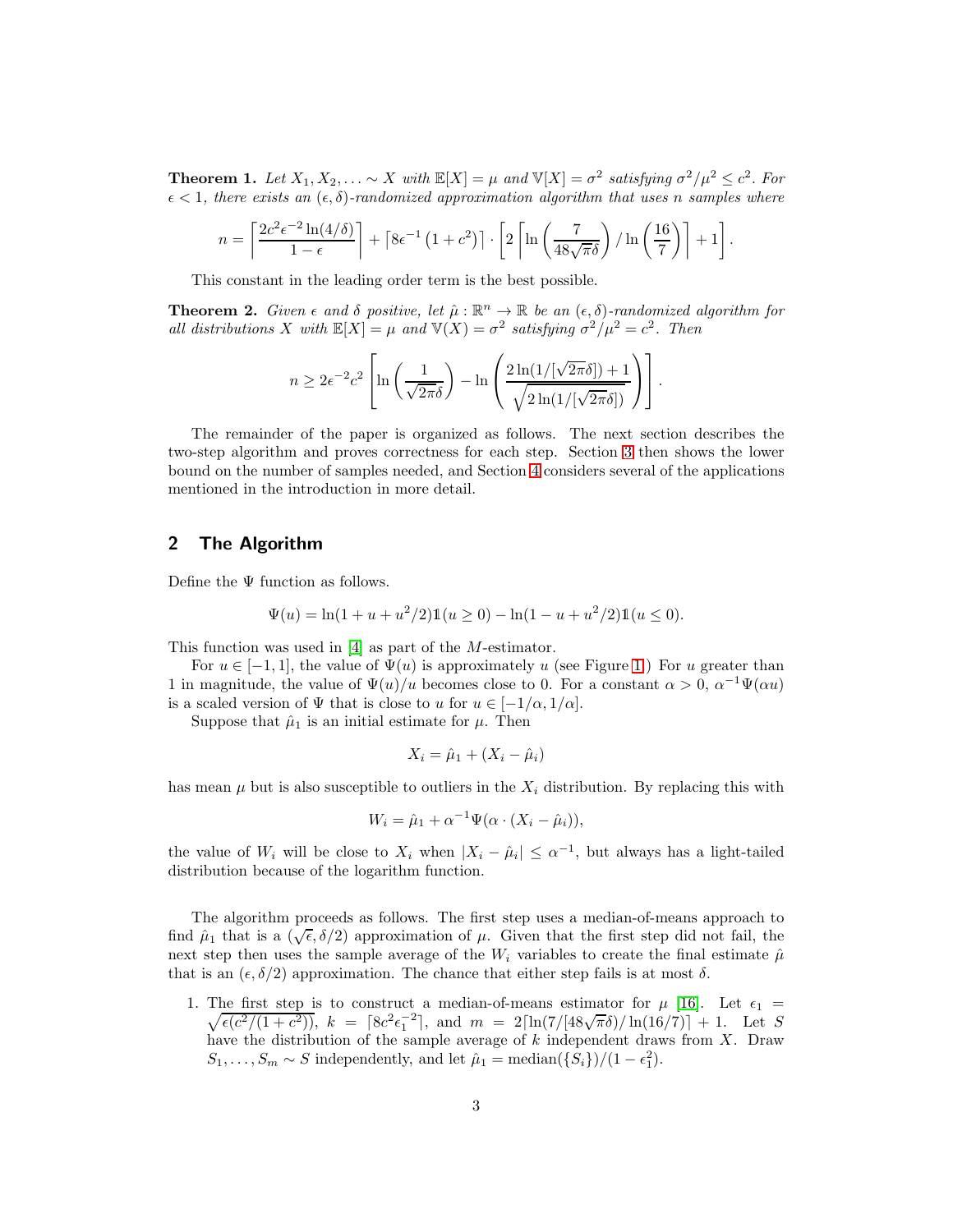<span id="page-2-0"></span>**Theorem 1.** Let  $X_1, X_2, \ldots \sim X$  with  $\mathbb{E}[X] = \mu$  and  $\mathbb{V}[X] = \sigma^2$  satisfying  $\sigma^2/\mu^2 \leq c^2$ . For  $\epsilon < 1$ , there exists an  $(\epsilon, \delta)$ -randomized approximation algorithm that uses n samples where

$$
n = \left\lceil \frac{2c^2 \epsilon^{-2} \ln(4/\delta)}{1 - \epsilon} \right\rceil + \left\lceil 8\epsilon^{-1} \left(1 + c^2\right) \right\rceil \cdot \left\lceil 2 \left\lceil \ln\left(\frac{7}{48\sqrt{\pi}\delta}\right) / \ln\left(\frac{16}{7}\right) \right\rceil + 1 \right\rceil.
$$

This constant in the leading order term is the best possible.

<span id="page-2-1"></span>**Theorem 2.** Given  $\epsilon$  and  $\delta$  positive, let  $\hat{\mu} : \mathbb{R}^n \to \mathbb{R}$  be an  $(\epsilon, \delta)$ -randomized algorithm for all distributions X with  $\mathbb{E}[X] = \mu$  and  $\mathbb{V}(X) = \sigma^2$  satisfying  $\sigma^2/\mu^2 = c^2$ . Then

$$
n \geq 2\epsilon^{-2}c^2 \left[ \ln \left( \frac{1}{\sqrt{2\pi\delta}} \right) - \ln \left( \frac{2\ln(1/[\sqrt{2\pi}\delta]) + 1}{\sqrt{2\ln(1/[\sqrt{2\pi}\delta])}} \right) \right].
$$

The remainder of the paper is organized as follows. The next section describes the two-step algorithm and proves correctness for each step. Section [3](#page-7-0) then shows the lower bound on the number of samples needed, and Section [4](#page-7-1) considers several of the applications mentioned in the introduction in more detail.

# 2 The Algorithm

Define the  $\Psi$  function as follows.

$$
\Psi(u) = \ln(1 + u + u^2/2)\mathbb{1}(u \ge 0) - \ln(1 - u + u^2/2)\mathbb{1}(u \le 0).
$$

This function was used in [\[4\]](#page-10-6) as part of the M-estimator.

For  $u \in [-1,1]$ , the value of  $\Psi(u)$  is approximately u (see Figure [1.](#page-3-0)) For u greater than 1 in magnitude, the value of  $\Psi(u)/u$  becomes close to 0. For a constant  $\alpha > 0$ ,  $\alpha^{-1}\Psi(\alpha u)$ is a scaled version of  $\Psi$  that is close to u for  $u \in [-1/\alpha, 1/\alpha]$ .

Suppose that  $\hat{\mu}_1$  is an initial estimate for  $\mu$ . Then

$$
X_i = \hat{\mu}_1 + (X_i - \hat{\mu}_i)
$$

has mean  $\mu$  but is also susceptible to outliers in the  $X_i$  distribution. By replacing this with

$$
W_i = \hat{\mu}_1 + \alpha^{-1} \Psi(\alpha \cdot (X_i - \hat{\mu}_i)),
$$

the value of  $W_i$  will be close to  $X_i$  when  $|X_i - \hat{\mu}_i| \leq \alpha^{-1}$ , but always has a light-tailed distribution because of the logarithm function.

The algorithm proceeds as follows. The first step uses a median-of-means approach to find  $\mu_1$  that is a  $(\sqrt{\epsilon}, \delta/2)$  approximation of  $\mu$ . Given that the first step did not fail, the next step then uses the sample average of the  $W_i$  variables to create the final estimate  $\hat{\mu}$ that is an  $(\epsilon, \delta/2)$  approximation. The chance that either step fails is at most  $\delta$ .

1. The first step is to construct a median-of-means estimator for  $\mu$  [\[16\]](#page-11-2). Let  $\epsilon_1$  =  $\sqrt{\epsilon(c^2/(1+c^2))}$ ,  $k = [8c^2\epsilon_1^{-2}]$ , and  $m = 2[\ln(7/[48\sqrt{\pi}\delta)/\ln(16/7)] + 1$ . Let S have the distribution of the sample average of  $k$  independent draws from  $X$ . Draw  $S_1, \ldots, S_m \sim S$  independently, and let  $\hat{\mu}_1 = \text{median}(\{S_i\})/(1 - \epsilon_1^2)$ .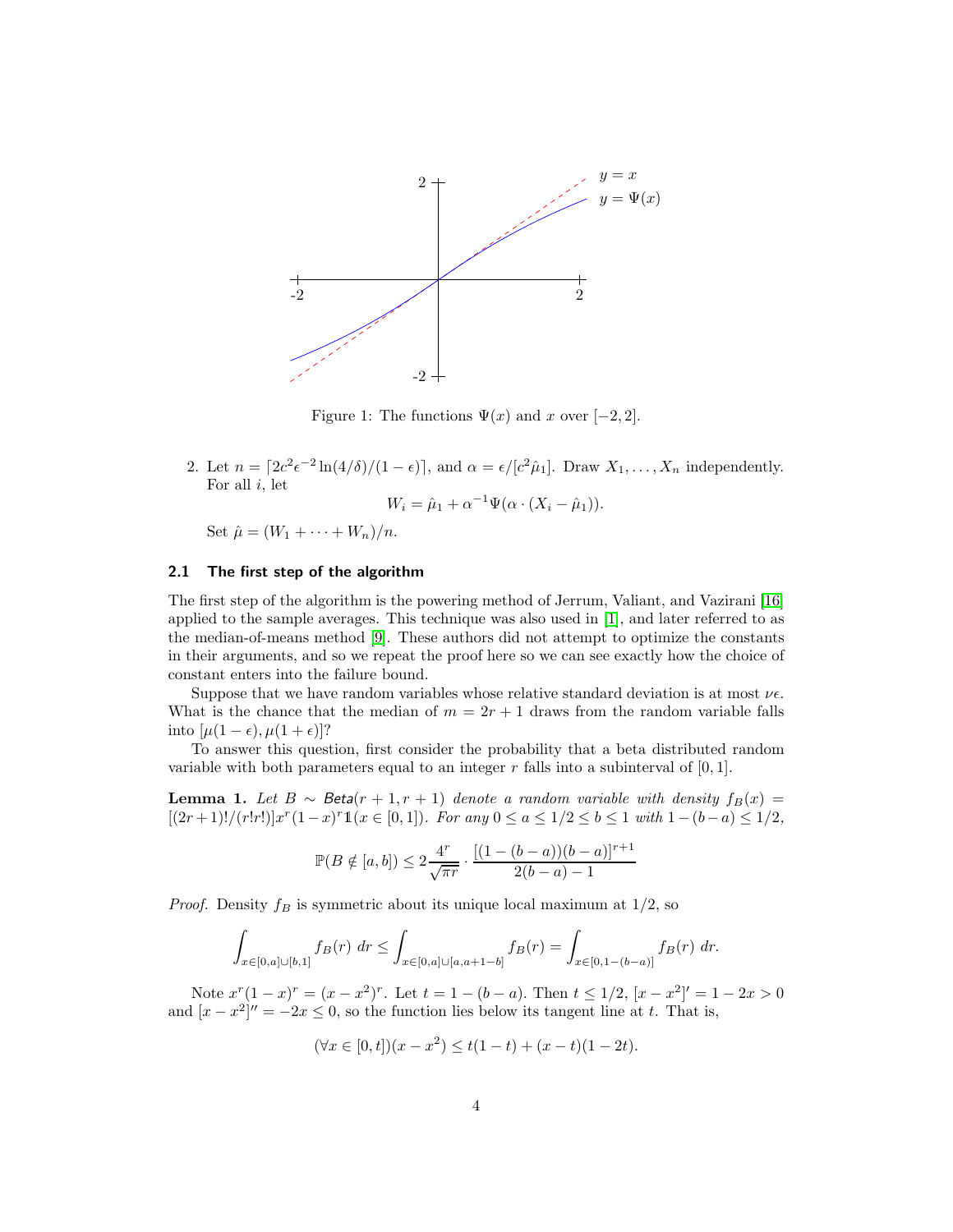

<span id="page-3-0"></span>Figure 1: The functions  $\Psi(x)$  and x over [-2, 2].

2. Let  $n = \left[2c^2\epsilon^{-2}\ln(4/\delta)/(1-\epsilon)\right]$ , and  $\alpha = \epsilon/[c^2\hat{\mu}_1]$ . Draw  $X_1, \ldots, X_n$  independently. For all  $i$ , let

$$
W_i = \hat{\mu}_1 + \alpha^{-1} \Psi(\alpha \cdot (X_i - \hat{\mu}_1)).
$$

Set  $\hat{\mu} = (W_1 + \cdots + W_n)/n$ .

#### 2.1 The first step of the algorithm

The first step of the algorithm is the powering method of Jerrum, Valiant, and Vazirani [\[16\]](#page-11-2) applied to the sample averages. This technique was also used in [\[1\]](#page-10-3), and later referred to as the median-of-means method [\[9\]](#page-10-4). These authors did not attempt to optimize the constants in their arguments, and so we repeat the proof here so we can see exactly how the choice of constant enters into the failure bound.

Suppose that we have random variables whose relative standard deviation is at most  $\nu \epsilon$ . What is the chance that the median of  $m = 2r + 1$  draws from the random variable falls into  $[\mu(1-\epsilon), \mu(1+\epsilon)]$ ?

To answer this question, first consider the probability that a beta distributed random variable with both parameters equal to an integer  $r$  falls into a subinterval of  $[0, 1]$ .

**Lemma 1.** Let  $B \sim Beta(r + 1, r + 1)$  denote a random variable with density  $f_B(x)$  $[(2r+1)!/(r!r!)]x^r(1-x)^r1(x \in [0,1]).$  For any  $0 \le a \le 1/2 \le b \le 1$  with  $1-(b-a) \le 1/2$ ,

$$
\mathbb{P}(B \notin [a, b]) \le 2\frac{4^r}{\sqrt{\pi r}} \cdot \frac{[(1 - (b - a))(b - a)]^{r+1}}{2(b - a) - 1}
$$

*Proof.* Density  $f_B$  is symmetric about its unique local maximum at  $1/2$ , so

$$
\int_{x \in [0,a] \cup [b,1]} f_B(r) \, dr \le \int_{x \in [0,a] \cup [a,a+1-b]} f_B(r) = \int_{x \in [0,1-(b-a)]} f_B(r) \, dr.
$$

Note  $x^{r}(1-x)^{r} = (x-x^{2})^{r}$ . Let  $t = 1 - (b-a)$ . Then  $t \le 1/2$ ,  $[x - x^{2}]' = 1 - 2x > 0$ and  $[x - x^2]'' = -2x \le 0$ , so the function lies below its tangent line at t. That is,

$$
(\forall x \in [0, t])(x - x^2) \le t(1 - t) + (x - t)(1 - 2t).
$$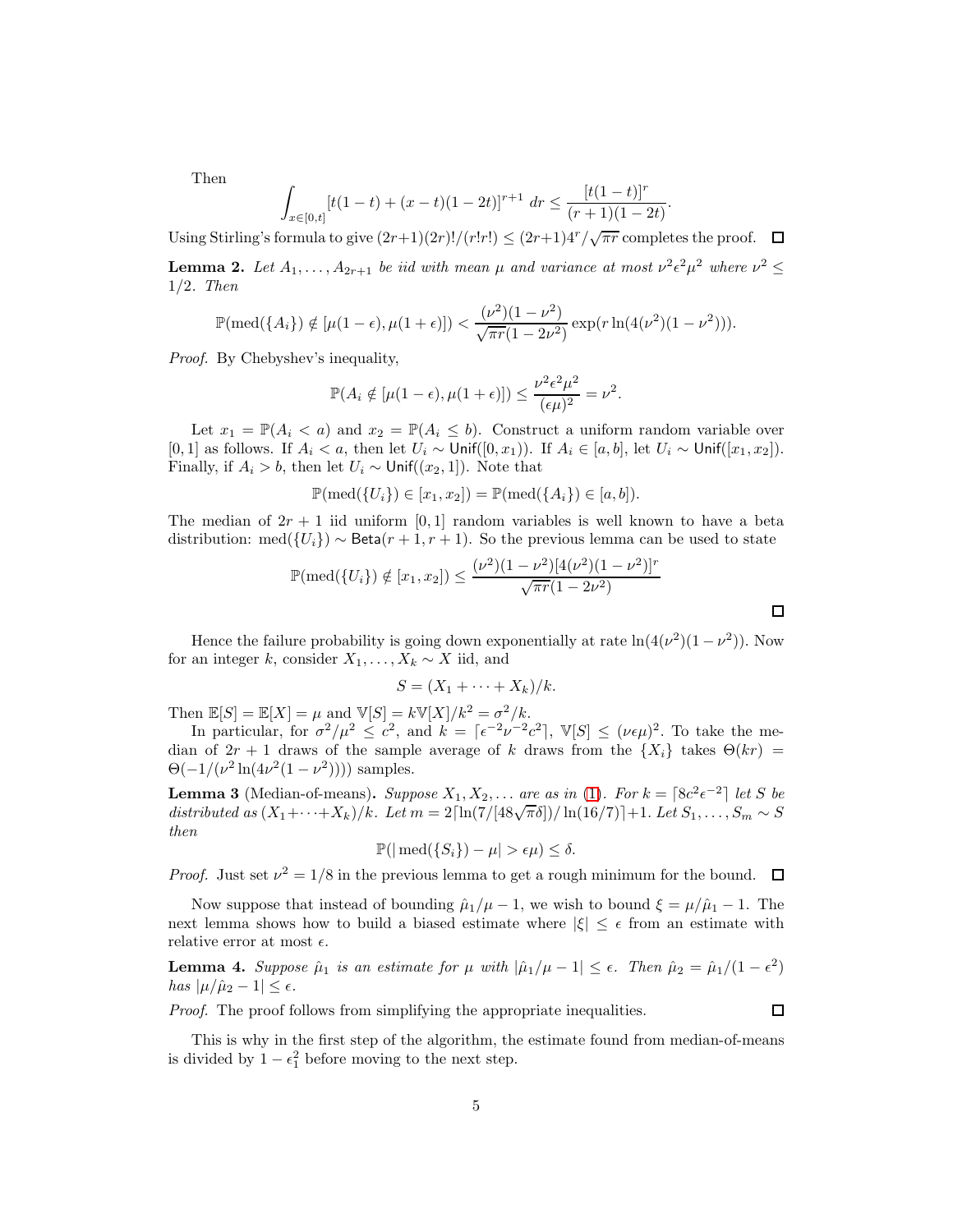Then

$$
\int_{x \in [0,t]} [t(1-t) + (x-t)(1-2t)]^{r+1} dr \le \frac{[t(1-t)]^r}{(r+1)(1-2t)}
$$

.

Using Stirling's formula to give  $(2r+1)(2r)!/(r!r!) \le (2r+1)4^r/\sqrt{\pi r}$  completes the proof.

**Lemma 2.** Let  $A_1, \ldots, A_{2r+1}$  be iid with mean  $\mu$  and variance at most  $\nu^2 \epsilon^2 \mu^2$  where  $\nu^2 \leq$ 1/2. Then

$$
\mathbb{P}(\text{med}(\{A_i\}) \notin [\mu(1-\epsilon), \mu(1+\epsilon)]) < \frac{(\nu^2)(1-\nu^2)}{\sqrt{\pi r}(1-2\nu^2)} \exp(r \ln(4(\nu^2)(1-\nu^2))).
$$

Proof. By Chebyshev's inequality,

$$
\mathbb{P}(A_i \notin [\mu(1-\epsilon), \mu(1+\epsilon)]) \le \frac{\nu^2 \epsilon^2 \mu^2}{(\epsilon \mu)^2} = \nu^2.
$$

Let  $x_1 = \mathbb{P}(A_i < a)$  and  $x_2 = \mathbb{P}(A_i \leq b)$ . Construct a uniform random variable over [0, 1] as follows. If  $A_i < a$ , then let  $U_i \sim \text{Unif}([0, x_1))$ . If  $A_i \in [a, b]$ , let  $U_i \sim \text{Unif}([x_1, x_2])$ . Finally, if  $A_i > b$ , then let  $U_i \sim \text{Unif}((x_2, 1])$ . Note that

$$
\mathbb{P}(\text{med}(\{U_i\}) \in [x_1, x_2]) = \mathbb{P}(\text{med}(\{A_i\}) \in [a, b]).
$$

The median of  $2r + 1$  iid uniform [0, 1] random variables is well known to have a beta distribution: med $({U_i}) \sim \text{Beta}(r + 1, r + 1)$ . So the previous lemma can be used to state

$$
\mathbb{P}(\text{med}(\{U_i\}) \notin [x_1, x_2]) \le \frac{(\nu^2)(1 - \nu^2)[4(\nu^2)(1 - \nu^2)]^r}{\sqrt{\pi r}(1 - 2\nu^2)}
$$

Hence the failure probability is going down exponentially at rate  $\ln(4(\nu^2)(1-\nu^2))$ . Now for an integer k, consider  $X_1, \ldots, X_k \sim X$  iid, and

$$
S=(X_1+\cdots+X_k)/k.
$$

Then  $\mathbb{E}[S] = \mathbb{E}[X] = \mu$  and  $\mathbb{V}[S] = k\mathbb{V}[X]/k^2 = \sigma^2/k$ .

In particular, for  $\sigma^2/\mu^2 \leq c^2$ , and  $k = \lceil \epsilon^{-2}\nu^{-2}c^2 \rceil$ ,  $\mathbb{V}[S] \leq (\nu \epsilon \mu)^2$ . To take the median of  $2r + 1$  draws of the sample average of k draws from the  $\{X_i\}$  takes  $\Theta(kr)$  =  $\Theta(-1/(\nu^2 \ln(4\nu^2(1-\nu^2))))$  samples.

**Lemma 3** (Median-of-means). Suppose  $X_1, X_2, \ldots$  are as in [\(1\)](#page-0-0). For  $k = \lceil 8c^2 \epsilon^{-2} \rceil$  let S be distributed as  $(X_1+\cdots+X_k)/k$ . Let  $m=2\lceil\ln(7/[48\sqrt{\pi}\delta])/\ln(16/7)\rceil+1$ . Let  $S_1,\ldots,S_m\sim S$ then

$$
\mathbb{P}(|\text{med}(\{S_i\}) - \mu| > \epsilon \mu) \le \delta.
$$

*Proof.* Just set  $\nu^2 = 1/8$  in the previous lemma to get a rough minimum for the bound.

Now suppose that instead of bounding  $\hat{\mu}_1/\mu - 1$ , we wish to bound  $\xi = \mu/\hat{\mu}_1 - 1$ . The next lemma shows how to build a biased estimate where  $|\xi| \leq \epsilon$  from an estimate with relative error at most  $\epsilon$ .

**Lemma 4.** Suppose  $\hat{\mu}_1$  is an estimate for  $\mu$  with  $|\hat{\mu}_1/\mu - 1| \leq \epsilon$ . Then  $\hat{\mu}_2 = \hat{\mu}_1/(1 - \epsilon^2)$ has  $|\mu/\hat{\mu}_2 - 1| \leq \epsilon$ .

Proof. The proof follows from simplifying the appropriate inequalities.

 $\Box$ 

This is why in the first step of the algorithm, the estimate found from median-of-means is divided by  $1 - \epsilon_1^2$  before moving to the next step.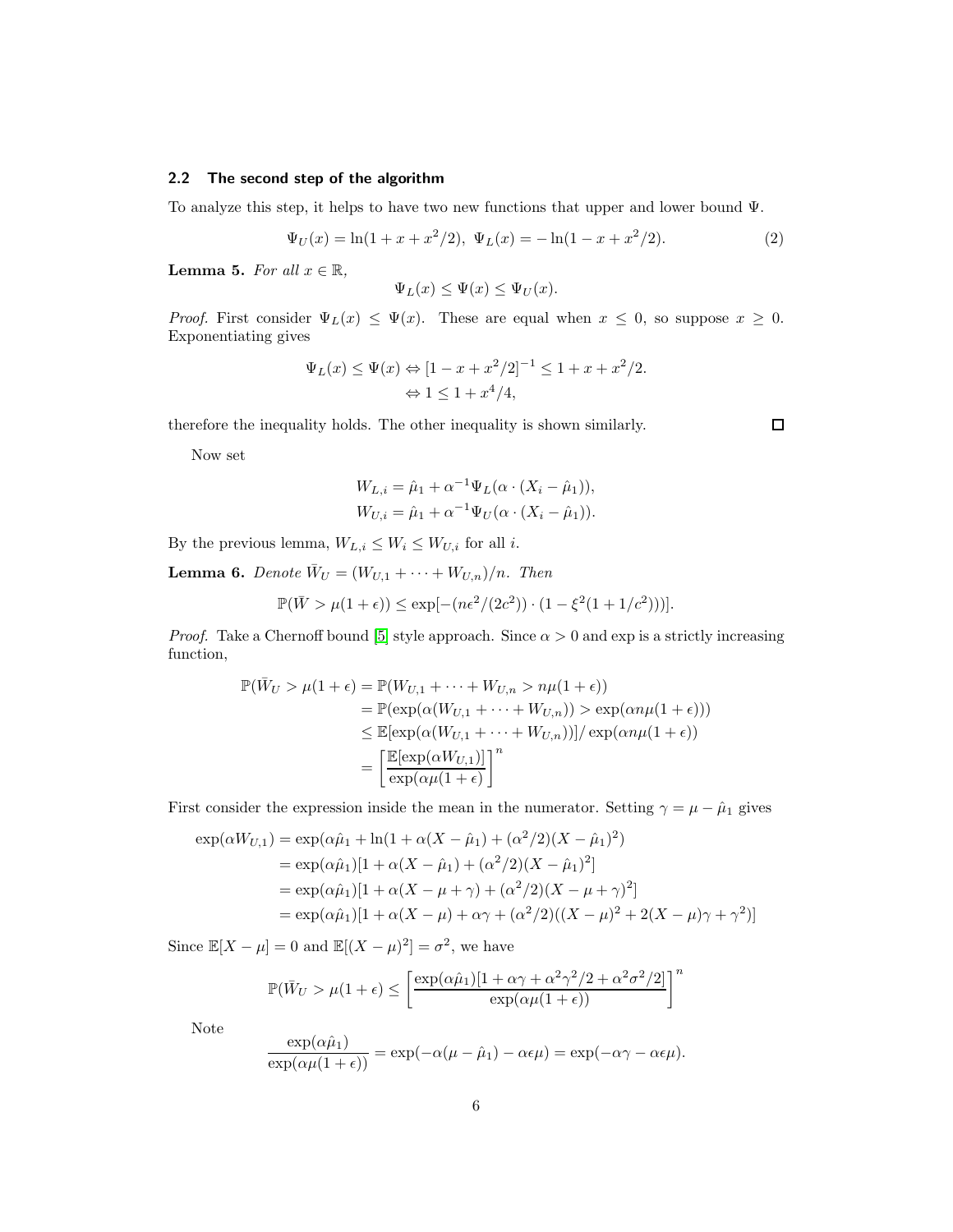# 2.2 The second step of the algorithm

To analyze this step, it helps to have two new functions that upper and lower bound Ψ.

$$
\Psi_U(x) = \ln(1 + x + x^2/2), \ \Psi_L(x) = -\ln(1 - x + x^2/2). \tag{2}
$$

**Lemma 5.** For all  $x \in \mathbb{R}$ ,

$$
\Psi_L(x) \le \Psi(x) \le \Psi_U(x).
$$

*Proof.* First consider  $\Psi_L(x) \leq \Psi(x)$ . These are equal when  $x \leq 0$ , so suppose  $x \geq 0$ . Exponentiating gives

$$
\Psi_L(x) \le \Psi(x) \Leftrightarrow [1 - x + x^2/2]^{-1} \le 1 + x + x^2/2.
$$
  

$$
\Leftrightarrow 1 \le 1 + x^4/4,
$$

therefore the inequality holds. The other inequality is shown similarly.

 $\Box$ 

Now set

$$
W_{L,i} = \hat{\mu}_1 + \alpha^{-1} \Psi_L(\alpha \cdot (X_i - \hat{\mu}_1)),
$$
  
\n
$$
W_{U,i} = \hat{\mu}_1 + \alpha^{-1} \Psi_U(\alpha \cdot (X_i - \hat{\mu}_1)).
$$

By the previous lemma,  $W_{L,i} \leq W_i \leq W_{U,i}$  for all  $i.$ 

**Lemma 6.** Denote  $\bar{W}_U = (W_{U,1} + \cdots + W_{U,n})/n$ . Then

$$
\mathbb{P}(\bar{W} > \mu(1+\epsilon)) \le \exp[-(n\epsilon^2/(2c^2)) \cdot (1 - \xi^2(1+1/c^2)))].
$$

*Proof.* Take a Chernoff bound [\[5\]](#page-10-8) style approach. Since  $\alpha > 0$  and exp is a strictly increasing function,

$$
\mathbb{P}(\bar{W}_U > \mu(1+\epsilon) = \mathbb{P}(W_{U,1} + \dots + W_{U,n} > n\mu(1+\epsilon))
$$
  
\n
$$
= \mathbb{P}(\exp(\alpha(W_{U,1} + \dots + W_{U,n})) > \exp(\alpha n\mu(1+\epsilon)))
$$
  
\n
$$
\leq \mathbb{E}[\exp(\alpha(W_{U,1} + \dots + W_{U,n}))] / \exp(\alpha n\mu(1+\epsilon))
$$
  
\n
$$
= \left[\frac{\mathbb{E}[\exp(\alpha W_{U,1})]}{\exp(\alpha \mu(1+\epsilon)}\right]^n
$$

First consider the expression inside the mean in the numerator. Setting  $\gamma = \mu - \hat{\mu}_1$  gives

$$
\exp(\alpha W_{U,1}) = \exp(\alpha \hat{\mu}_1 + \ln(1 + \alpha(X - \hat{\mu}_1) + (\alpha^2/2)(X - \hat{\mu}_1)^2)
$$
  
= 
$$
\exp(\alpha \hat{\mu}_1)[1 + \alpha(X - \hat{\mu}_1) + (\alpha^2/2)(X - \hat{\mu}_1)^2]
$$
  
= 
$$
\exp(\alpha \hat{\mu}_1)[1 + \alpha(X - \mu + \gamma) + (\alpha^2/2)(X - \mu + \gamma)^2]
$$
  
= 
$$
\exp(\alpha \hat{\mu}_1)[1 + \alpha(X - \mu) + \alpha \gamma + (\alpha^2/2)((X - \mu)^2 + 2(X - \mu)\gamma + \gamma^2)]
$$

Since  $\mathbb{E}[X - \mu] = 0$  and  $\mathbb{E}[(X - \mu)^2] = \sigma^2$ , we have

$$
\mathbb{P}(\bar{W}_U > \mu(1+\epsilon) \le \left[\frac{\exp(\alpha\hat{\mu}_1)[1+\alpha\gamma+\alpha^2\gamma^2/2+\alpha^2\sigma^2/2]}{\exp(\alpha\mu(1+\epsilon))}\right]^n
$$

Note

$$
\frac{\exp(\alpha\hat{\mu}_1)}{\exp(\alpha\mu(1+\epsilon))} = \exp(-\alpha(\mu-\hat{\mu}_1) - \alpha\epsilon\mu) = \exp(-\alpha\gamma - \alpha\epsilon\mu).
$$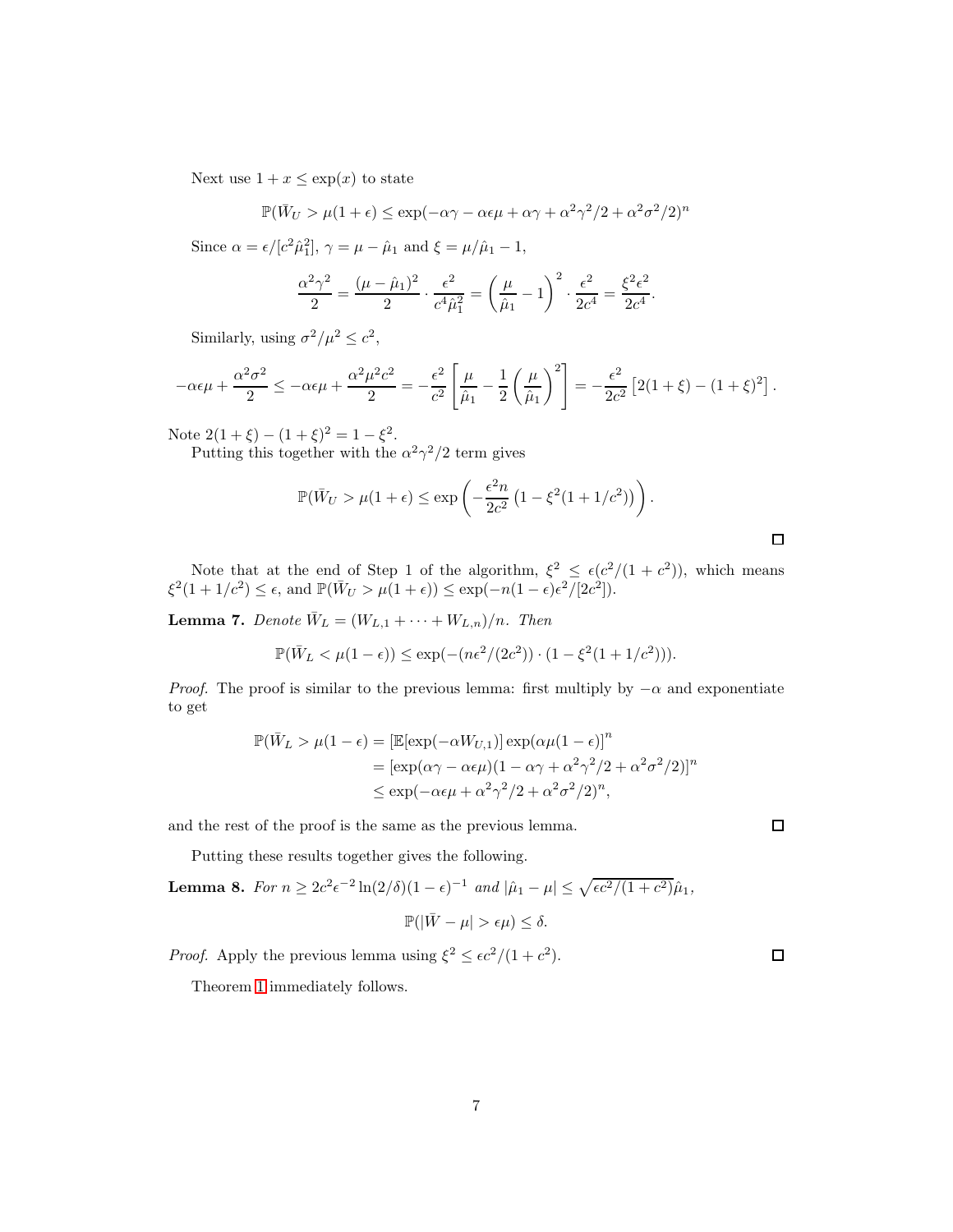Next use  $1 + x \leq \exp(x)$  to state

$$
\mathbb{P}(\bar{W}_U > \mu(1+\epsilon) \le \exp(-\alpha \gamma - \alpha \epsilon \mu + \alpha \gamma + \alpha^2 \gamma^2 / 2 + \alpha^2 \sigma^2 / 2)^n
$$

Since  $\alpha = \epsilon / [c^2 \hat{\mu}_1^2], \gamma = \mu - \hat{\mu}_1$  and  $\xi = \mu / \hat{\mu}_1 - 1$ ,

$$
\frac{\alpha^2 \gamma^2}{2} = \frac{(\mu - \hat{\mu}_1)^2}{2} \cdot \frac{\epsilon^2}{c^4 \hat{\mu}_1^2} = \left(\frac{\mu}{\hat{\mu}_1} - 1\right)^2 \cdot \frac{\epsilon^2}{2c^4} = \frac{\xi^2 \epsilon^2}{2c^4}.
$$

Similarly, using  $\sigma^2/\mu^2 \leq c^2$ ,

$$
-\alpha \epsilon \mu + \frac{\alpha^2 \sigma^2}{2} \leq -\alpha \epsilon \mu + \frac{\alpha^2 \mu^2 c^2}{2} = -\frac{\epsilon^2}{c^2} \left[ \frac{\mu}{\hat{\mu}_1} - \frac{1}{2} \left( \frac{\mu}{\hat{\mu}_1} \right)^2 \right] = -\frac{\epsilon^2}{2c^2} \left[ 2(1+\xi) - (1+\xi)^2 \right].
$$

Note  $2(1+\xi) - (1+\xi)^2 = 1 - \xi^2$ .

Putting this together with the  $\alpha^2 \gamma^2/2$  term gives

$$
\mathbb{P}(\bar{W}_U > \mu(1+\epsilon) \le \exp\left(-\frac{\epsilon^2 n}{2c^2} \left(1 - \xi^2 (1+1/c^2)\right)\right).
$$

Note that at the end of Step 1 of the algorithm,  $\xi^2 \leq \epsilon (c^2/(1+c^2))$ , which means  $\xi^2(1+1/c^2) \leq \epsilon$ , and  $\mathbb{P}(\bar{W}_U > \mu(1+\epsilon)) \leq \exp(-n(1-\epsilon)\epsilon^2/[2c^2]).$ 

**Lemma 7.** Denote  $\overline{W}_L = (W_{L,1} + \cdots + W_{L,n})/n$ . Then

$$
\mathbb{P}(\bar{W}_L < \mu(1-\epsilon)) \le \exp(-(n\epsilon^2/(2c^2)) \cdot (1 - \xi^2(1+1/c^2))).
$$

*Proof.* The proof is similar to the previous lemma: first multiply by  $-\alpha$  and exponentiate to get

$$
\mathbb{P}(\bar{W}_L > \mu(1 - \epsilon) = [\mathbb{E}[\exp(-\alpha W_{U,1})] \exp(\alpha \mu (1 - \epsilon))]^n
$$
  
= 
$$
[\exp(\alpha \gamma - \alpha \epsilon \mu)(1 - \alpha \gamma + \alpha^2 \gamma^2 / 2 + \alpha^2 \sigma^2 / 2)]^n
$$
  

$$
\leq \exp(-\alpha \epsilon \mu + \alpha^2 \gamma^2 / 2 + \alpha^2 \sigma^2 / 2)^n,
$$

and the rest of the proof is the same as the previous lemma.

Putting these results together gives the following.

**Lemma 8.** For 
$$
n \ge 2c^2 \epsilon^{-2} \ln(2/\delta)(1-\epsilon)^{-1}
$$
 and  $|\hat{\mu}_1 - \mu| \le \sqrt{\epsilon c^2/(1+c^2)}\hat{\mu}_1$ ,  

$$
\mathbb{P}(|\bar{W} - \mu| > \epsilon \mu) \le \delta.
$$

*Proof.* Apply the previous lemma using  $\xi^2 \le \epsilon c^2/(1+c^2)$ .

Theorem [1](#page-2-0) immediately follows.

 $\Box$ 

 $\Box$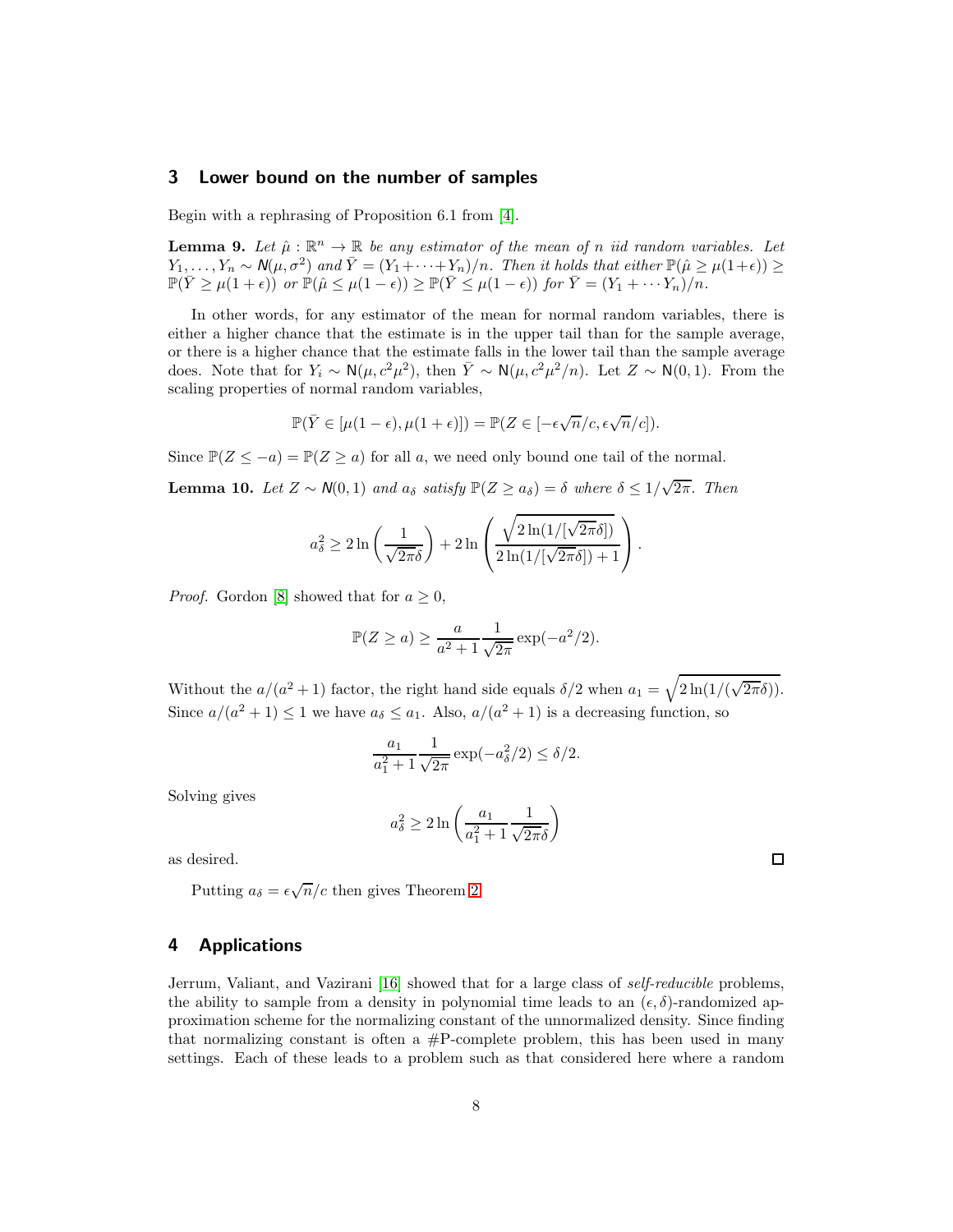## <span id="page-7-0"></span>3 Lower bound on the number of samples

Begin with a rephrasing of Proposition 6.1 from [\[4\]](#page-10-6).

**Lemma 9.** Let  $\hat{\mu} : \mathbb{R}^n \to \mathbb{R}$  be any estimator of the mean of n iid random variables. Let  $Y_1, \ldots, Y_n \sim \mathcal{N}(\mu, \sigma^2)$  and  $\overline{Y} = (Y_1 + \cdots + Y_n)/n$ . Then it holds that either  $\mathbb{P}(\hat{\mu} \ge \mu(1+\epsilon)) \ge$  $\mathbb{P}(\bar{Y} \geq \mu(1+\epsilon))$  or  $\mathbb{P}(\hat{\mu} \leq \mu(1-\epsilon)) \geq \mathbb{P}(\bar{Y} \leq \mu(1-\epsilon))$  for  $\bar{Y} = (Y_1 + \cdots + Y_n)/n$ .

In other words, for any estimator of the mean for normal random variables, there is either a higher chance that the estimate is in the upper tail than for the sample average, or there is a higher chance that the estimate falls in the lower tail than the sample average does. Note that for  $Y_i \sim \mathsf{N}(\mu, c^2\mu^2)$ , then  $\overline{Y} \sim \mathsf{N}(\mu, c^2\mu^2/n)$ . Let  $Z \sim \mathsf{N}(0, 1)$ . From the scaling properties of normal random variables,

$$
\mathbb{P}(\bar{Y} \in [\mu(1-\epsilon), \mu(1+\epsilon)]) = \mathbb{P}(Z \in [-\epsilon\sqrt{n}/c, \epsilon\sqrt{n}/c]).
$$

Since  $\mathbb{P}(Z \le -a) = \mathbb{P}(Z \ge a)$  for all a, we need only bound one tail of the normal.

**Lemma 10.** Let  $Z \sim N(0, 1)$  and  $a_{\delta}$  satisfy  $\mathbb{P}(Z \ge a_{\delta}) = \delta$  where  $\delta \le 1/\sqrt{2\pi}$ . Then

$$
a_{\delta}^{2} \geq 2 \ln \left( \frac{1}{\sqrt{2\pi\delta}} \right) + 2 \ln \left( \frac{\sqrt{2 \ln(1/[\sqrt{2\pi}\delta])}}{2 \ln(1/[\sqrt{2\pi}\delta]) + 1} \right).
$$

*Proof.* Gordon [\[8\]](#page-10-9) showed that for  $a \geq 0$ ,

$$
\mathbb{P}(Z \ge a) \ge \frac{a}{a^2 + 1} \frac{1}{\sqrt{2\pi}} \exp(-a^2/2).
$$

Without the  $a/(a^2+1)$  factor, the right hand side equals  $\delta/2$  when  $a_1 = \sqrt{2\ln(1/(\sqrt{2\pi\delta}))}$ . Since  $a/(a^2+1) \leq 1$  we have  $a_{\delta} \leq a_1$ . Also,  $a/(a^2+1)$  is a decreasing function, so

$$
\frac{a_1}{a_1^2 + 1} \frac{1}{\sqrt{2\pi}} \exp(-a_\delta^2/2) \le \delta/2.
$$

Solving gives

$$
a_{\delta}^2 \ge 2 \ln \left( \frac{a_1}{a_1^2 + 1} \frac{1}{\sqrt{2\pi}\delta} \right)
$$

as desired.

Putting  $a_{\delta} = \epsilon \sqrt{n}/c$  then gives Theorem [2.](#page-2-1)

# <span id="page-7-1"></span>4 Applications

Jerrum, Valiant, and Vazirani [\[16\]](#page-11-2) showed that for a large class of *self-reducible* problems, the ability to sample from a density in polynomial time leads to an  $(\epsilon, \delta)$ -randomized approximation scheme for the normalizing constant of the unnormalized density. Since finding that normalizing constant is often a  $\#P$ -complete problem, this has been used in many settings. Each of these leads to a problem such as that considered here where a random

 $\Box$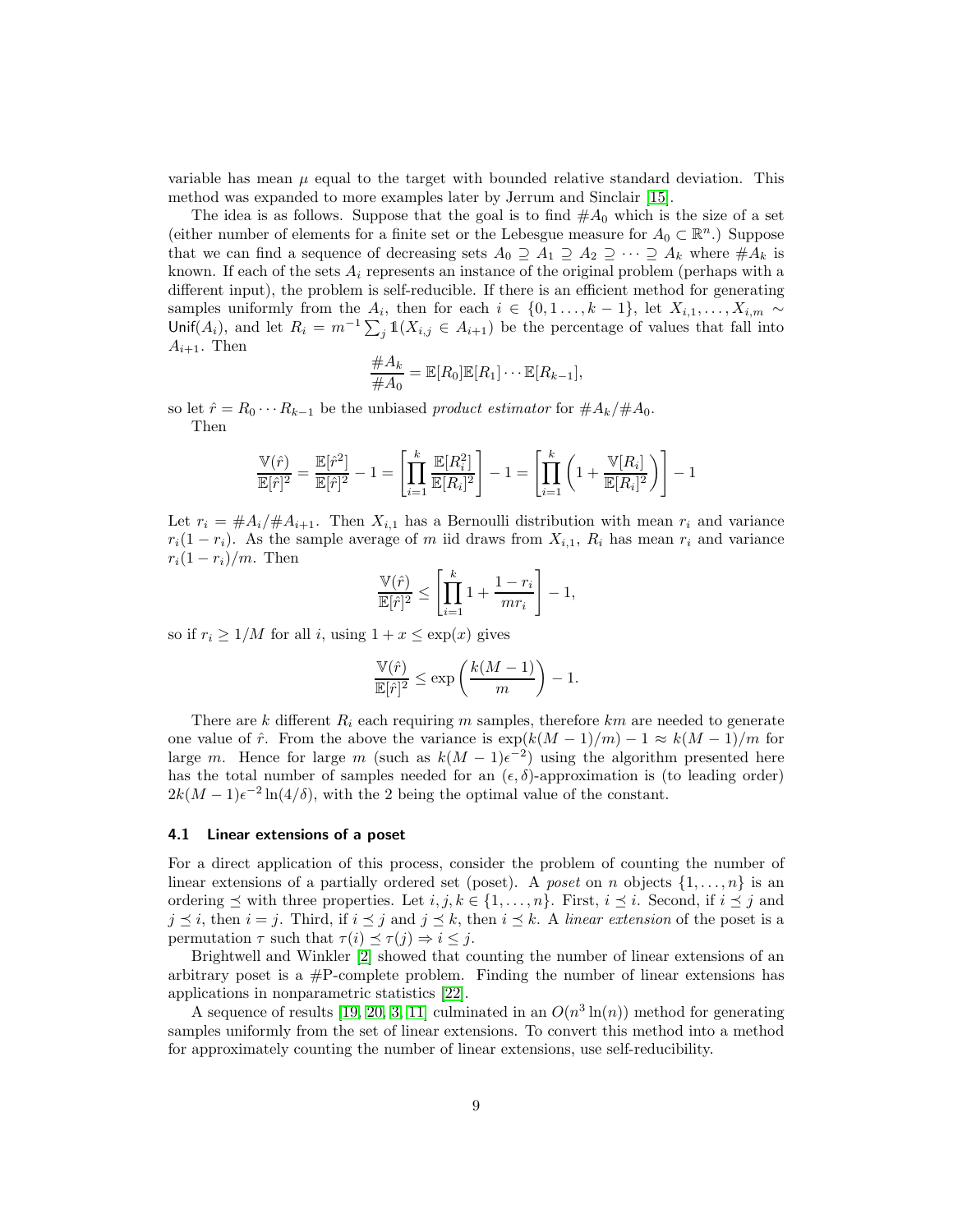variable has mean  $\mu$  equal to the target with bounded relative standard deviation. This method was expanded to more examples later by Jerrum and Sinclair [\[15\]](#page-11-6).

The idea is as follows. Suppose that the goal is to find  $#A_0$  which is the size of a set (either number of elements for a finite set or the Lebesgue measure for  $A_0 \subset \mathbb{R}^n$ .) Suppose that we can find a sequence of decreasing sets  $A_0 \supseteq A_1 \supseteq A_2 \supseteq \cdots \supseteq A_k$  where  $\#A_k$  is known. If each of the sets  $A_i$  represents an instance of the original problem (perhaps with a different input), the problem is self-reducible. If there is an efficient method for generating samples uniformly from the  $A_i$ , then for each  $i \in \{0, 1, \ldots, k-1\}$ , let  $X_{i,1}, \ldots, X_{i,m} \sim$ Unif(A<sub>i</sub>), and let  $R_i = m^{-1} \sum_j \mathbb{1}(X_{i,j} \in A_{i+1})$  be the percentage of values that fall into  $A_{i+1}$ . Then

$$
\frac{\#A_k}{\#A_0} = \mathbb{E}[R_0]\mathbb{E}[R_1]\cdots\mathbb{E}[R_{k-1}],
$$

so let  $\hat{r} = R_0 \cdots R_{k-1}$  be the unbiased product estimator for  $\#A_k/\#A_0$ . Then

$$
\frac{\mathbb{V}(\hat{r})}{\mathbb{E}[\hat{r}]^2} = \frac{\mathbb{E}[\hat{r}^2]}{\mathbb{E}[\hat{r}]^2} - 1 = \left[ \prod_{i=1}^k \frac{\mathbb{E}[R_i^2]}{\mathbb{E}[R_i]^2} \right] - 1 = \left[ \prod_{i=1}^k \left( 1 + \frac{\mathbb{V}[R_i]}{\mathbb{E}[R_i]^2} \right) \right] - 1
$$

Let  $r_i = \frac{\mu A_i}{\mu A_{i+1}}$ . Then  $X_{i,1}$  has a Bernoulli distribution with mean  $r_i$  and variance  $r_i(1 - r_i)$ . As the sample average of m iid draws from  $X_{i,1}$ ,  $R_i$  has mean  $r_i$  and variance  $r_i(1 - r_i)/m$ . Then

$$
\frac{\mathbb{V}(\hat{r})}{\mathbb{E}[\hat{r}]^2} \le \left[ \prod_{i=1}^k 1 + \frac{1 - r_i}{mr_i} \right] - 1,
$$

so if  $r_i \geq 1/M$  for all i, using  $1 + x \leq \exp(x)$  gives

$$
\frac{\mathbb{V}(\hat{r})}{\mathbb{E}[\hat{r}]^2} \leq \exp\left(\frac{k(M-1)}{m}\right) - 1.
$$

There are  $k$  different  $R_i$  each requiring m samples, therefore  $km$  are needed to generate one value of  $\hat{r}$ . From the above the variance is  $\exp(k(M-1)/m) - 1 \approx k(M-1)/m$  for large m. Hence for large m (such as  $k(M-1)\epsilon^{-2}$ ) using the algorithm presented here has the total number of samples needed for an  $(\epsilon, \delta)$ -approximation is (to leading order)  $2k(M-1)\epsilon^{-2}\ln(4/\delta)$ , with the 2 being the optimal value of the constant.

#### 4.1 Linear extensions of a poset

For a direct application of this process, consider the problem of counting the number of linear extensions of a partially ordered set (poset). A poset on n objects  $\{1, \ldots, n\}$  is an ordering  $\preceq$  with three properties. Let  $i, j, k \in \{1, \ldots, n\}$ . First,  $i \preceq i$ . Second, if  $i \preceq j$  and  $j \leq i$ , then  $i = j$ . Third, if  $i \leq j$  and  $j \leq k$ , then  $i \leq k$ . A linear extension of the poset is a permutation  $\tau$  such that  $\tau(i) \preceq \tau(j) \Rightarrow i \leq j$ .

Brightwell and Winkler [\[2\]](#page-10-10) showed that counting the number of linear extensions of an arbitrary poset is a  $\#P$ -complete problem. Finding the number of linear extensions has applications in nonparametric statistics [\[22\]](#page-11-7).

A sequence of results [\[19,](#page-11-8) [20,](#page-11-3) [3,](#page-10-11) [11\]](#page-10-2) culminated in an  $O(n^3 \ln(n))$  method for generating samples uniformly from the set of linear extensions. To convert this method into a method for approximately counting the number of linear extensions, use self-reducibility.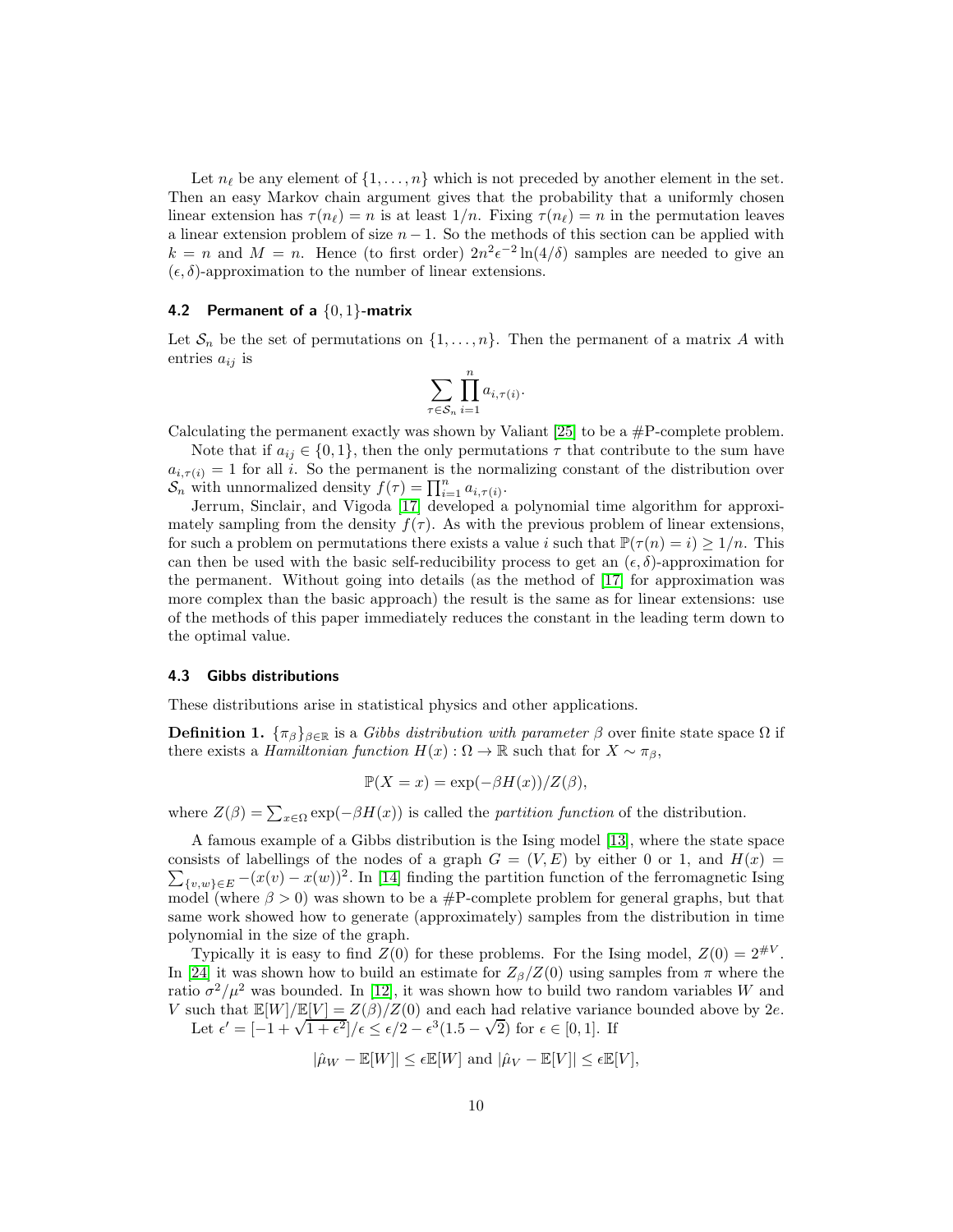Let  $n_{\ell}$  be any element of  $\{1, \ldots, n\}$  which is not preceded by another element in the set. Then an easy Markov chain argument gives that the probability that a uniformly chosen linear extension has  $\tau(n_\ell) = n$  is at least  $1/n$ . Fixing  $\tau(n_\ell) = n$  in the permutation leaves a linear extension problem of size  $n - 1$ . So the methods of this section can be applied with  $k = n$  and  $M = n$ . Hence (to first order)  $2n^2 \epsilon^{-2} \ln(4/\delta)$  samples are needed to give an  $(\epsilon, \delta)$ -approximation to the number of linear extensions.

#### 4.2 Permanent of a  $\{0,1\}$ -matrix

Let  $S_n$  be the set of permutations on  $\{1, \ldots, n\}$ . Then the permanent of a matrix A with entries  $a_{ij}$  is

$$
\sum_{\tau \in S_n} \prod_{i=1}^n a_{i,\tau(i)}.
$$

Calculating the permanent exactly was shown by Valiant  $[25]$  to be a #P-complete problem.

Note that if  $a_{ij} \in \{0,1\}$ , then the only permutations  $\tau$  that contribute to the sum have  $a_{i,\tau(i)} = 1$  for all i. So the permanent is the normalizing constant of the distribution over  $S_n$  with unnormalized density  $f(\tau) = \prod_{i=1}^n a_{i,\tau(i)}$ .

Jerrum, Sinclair, and Vigoda [\[17\]](#page-11-0) developed a polynomial time algorithm for approximately sampling from the density  $f(\tau)$ . As with the previous problem of linear extensions, for such a problem on permutations there exists a value i such that  $\mathbb{P}(\tau(n) = i) \geq 1/n$ . This can then be used with the basic self-reducibility process to get an  $(\epsilon, \delta)$ -approximation for the permanent. Without going into details (as the method of [\[17\]](#page-11-0) for approximation was more complex than the basic approach) the result is the same as for linear extensions: use of the methods of this paper immediately reduces the constant in the leading term down to the optimal value.

#### 4.3 Gibbs distributions

These distributions arise in statistical physics and other applications.

**Definition 1.**  $\{\pi_\beta\}_{\beta \in \mathbb{R}}$  is a *Gibbs distribution with parameter*  $\beta$  over finite state space  $\Omega$  if there exists a *Hamiltonian function*  $H(x): \Omega \to \mathbb{R}$  such that for  $X \sim \pi_{\beta}$ ,

$$
\mathbb{P}(X = x) = \exp(-\beta H(x))/Z(\beta),
$$

where  $Z(\beta) = \sum_{x \in \Omega} \exp(-\beta H(x))$  is called the *partition function* of the distribution.

A famous example of a Gibbs distribution is the Ising model [\[13\]](#page-10-12), where the state space consists of labellings of the nodes of a graph  $G = (V, E)$  by either 0 or 1, and  $H(x) =$  $\sum_{\{v,w\}\in E} -(x(v) - x(w))^2$ . In [\[14\]](#page-10-0) finding the partition function of the ferromagnetic Ising model (where  $\beta > 0$ ) was shown to be a #P-complete problem for general graphs, but that same work showed how to generate (approximately) samples from the distribution in time polynomial in the size of the graph.

Typically it is easy to find  $Z(0)$  for these problems. For the Ising model,  $Z(0) = 2^{\#V}$ . In [\[24\]](#page-11-10) it was shown how to build an estimate for  $Z_{\beta}/Z(0)$  using samples from  $\pi$  where the ratio  $\sigma^2/\mu^2$  was bounded. In [\[12\]](#page-10-13), it was shown how to build two random variables W and V such that  $\mathbb{E}[W]/\mathbb{E}[V] = Z(\hat{\beta})/Z(0)$  and each had relative variance bounded above by 2e. Let  $\epsilon' = [-1 + \sqrt{1 + \epsilon^2}]/\epsilon \le \epsilon/2 - \epsilon^3 (1.5 - \sqrt{2})$  for  $\epsilon \in [0, 1]$ . If

$$
|\hat{\mu}_W - \mathbb{E}[W]| \le \epsilon \mathbb{E}[W]
$$
 and  $|\hat{\mu}_V - \mathbb{E}[V]| \le \epsilon \mathbb{E}[V],$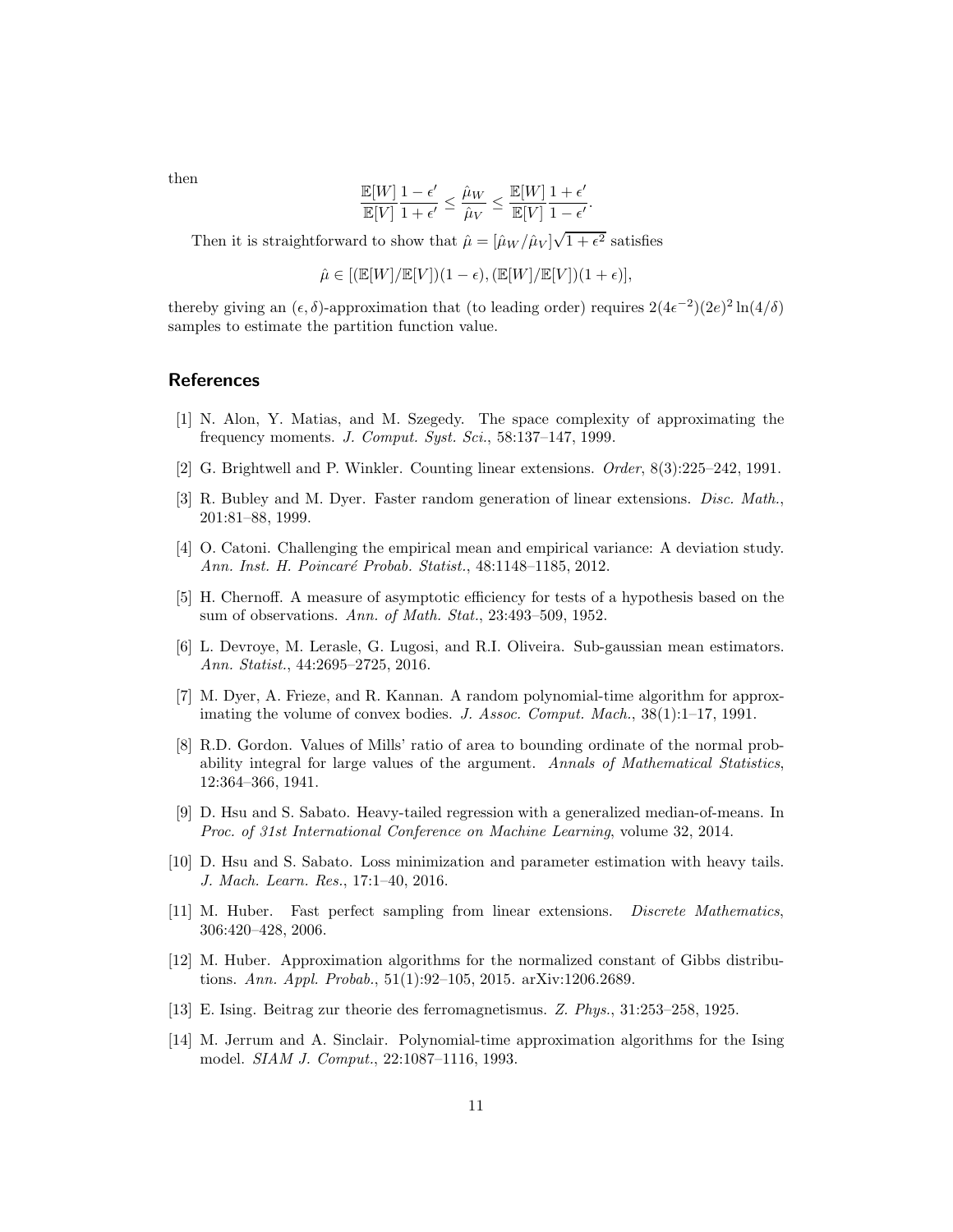then

$$
\frac{\mathbb{E}[W]}{\mathbb{E}[V]} \frac{1-\epsilon'}{1+\epsilon'} \leq \frac{\hat{\mu}_W}{\hat{\mu}_V} \leq \frac{\mathbb{E}[W]}{\mathbb{E}[V]} \frac{1+\epsilon'}{1-\epsilon'}.
$$

Then it is straightforward to show that  $\hat{\mu} = [\hat{\mu}_W / \hat{\mu}_V] \sqrt{1 + \epsilon^2}$  satisfies

$$
\hat{\mu}\in [(\mathbb{E}[W]/\mathbb{E}[V])(1-\epsilon),(\mathbb{E}[W]/\mathbb{E}[V])(1+\epsilon)],
$$

thereby giving an  $(\epsilon, \delta)$ -approximation that (to leading order) requires  $2(4\epsilon^{-2})(2e)^2 \ln(4/\delta)$ samples to estimate the partition function value.

## <span id="page-10-3"></span>References

- <span id="page-10-10"></span>[1] N. Alon, Y. Matias, and M. Szegedy. The space complexity of approximating the frequency moments. J. Comput. Syst. Sci., 58:137–147, 1999.
- <span id="page-10-11"></span>[2] G. Brightwell and P. Winkler. Counting linear extensions. Order, 8(3):225–242, 1991.
- [3] R. Bubley and M. Dyer. Faster random generation of linear extensions. Disc. Math., 201:81–88, 1999.
- <span id="page-10-8"></span><span id="page-10-6"></span>[4] O. Catoni. Challenging the empirical mean and empirical variance: A deviation study. Ann. Inst. H. Poincaré Probab. Statist., 48:1148–1185, 2012.
- [5] H. Chernoff. A measure of asymptotic efficiency for tests of a hypothesis based on the sum of observations. Ann. of Math. Stat., 23:493–509, 1952.
- <span id="page-10-7"></span>[6] L. Devroye, M. Lerasle, G. Lugosi, and R.I. Oliveira. Sub-gaussian mean estimators. Ann. Statist., 44:2695–2725, 2016.
- <span id="page-10-1"></span>[7] M. Dyer, A. Frieze, and R. Kannan. A random polynomial-time algorithm for approximating the volume of convex bodies. J. Assoc. Comput. Mach., 38(1):1–17, 1991.
- <span id="page-10-9"></span>[8] R.D. Gordon. Values of Mills' ratio of area to bounding ordinate of the normal probability integral for large values of the argument. Annals of Mathematical Statistics, 12:364–366, 1941.
- <span id="page-10-4"></span>[9] D. Hsu and S. Sabato. Heavy-tailed regression with a generalized median-of-means. In Proc. of 31st International Conference on Machine Learning, volume 32, 2014.
- <span id="page-10-5"></span>[10] D. Hsu and S. Sabato. Loss minimization and parameter estimation with heavy tails. J. Mach. Learn. Res., 17:1–40, 2016.
- <span id="page-10-2"></span>[11] M. Huber. Fast perfect sampling from linear extensions. Discrete Mathematics, 306:420–428, 2006.
- <span id="page-10-13"></span>[12] M. Huber. Approximation algorithms for the normalized constant of Gibbs distributions. Ann. Appl. Probab., 51(1):92–105, 2015. arXiv:1206.2689.
- <span id="page-10-12"></span><span id="page-10-0"></span>[13] E. Ising. Beitrag zur theorie des ferromagnetismus. Z. Phys., 31:253–258, 1925.
- [14] M. Jerrum and A. Sinclair. Polynomial-time approximation algorithms for the Ising model. SIAM J. Comput., 22:1087–1116, 1993.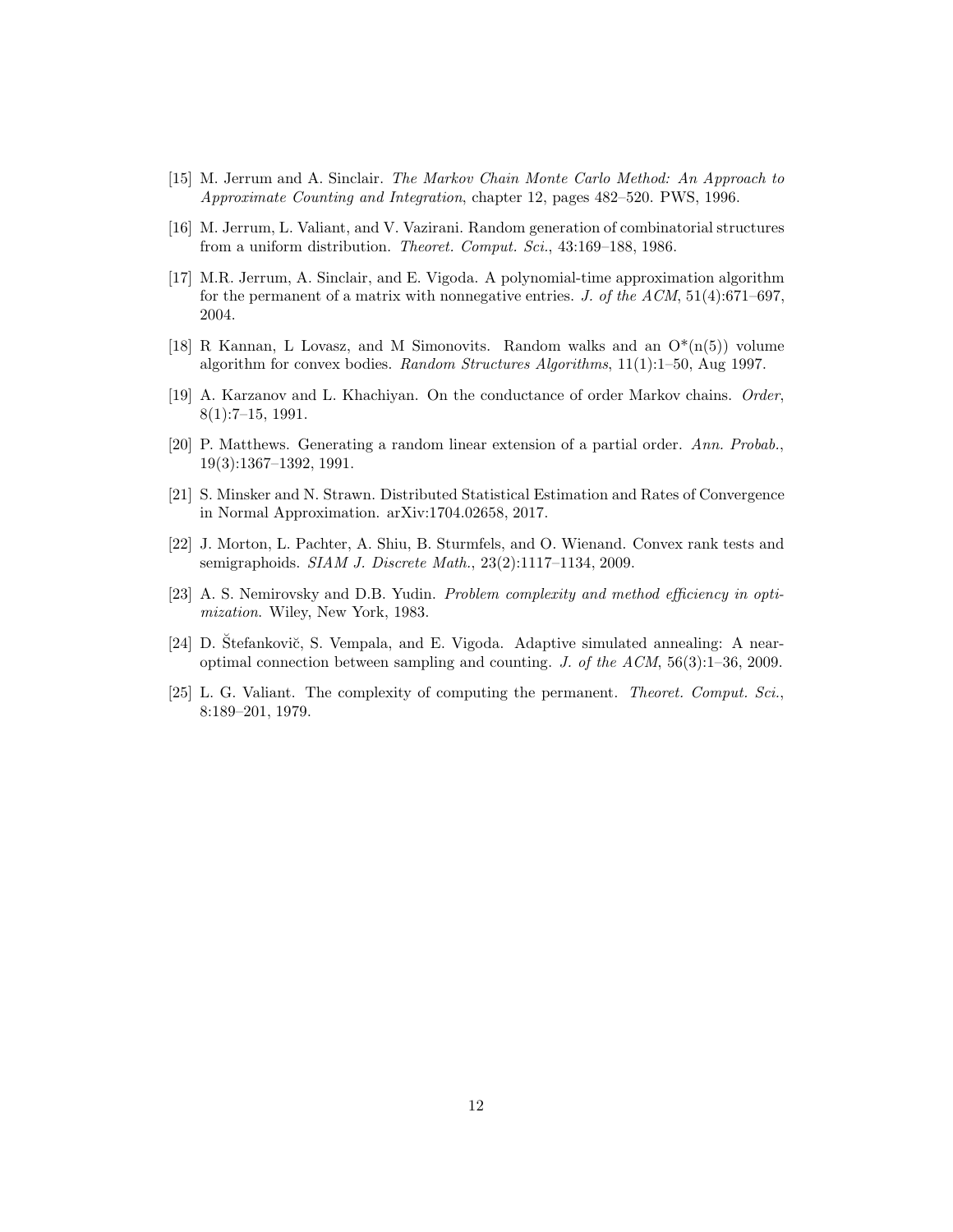- <span id="page-11-6"></span><span id="page-11-2"></span>[15] M. Jerrum and A. Sinclair. The Markov Chain Monte Carlo Method: An Approach to Approximate Counting and Integration, chapter 12, pages 482–520. PWS, 1996.
- <span id="page-11-0"></span>[16] M. Jerrum, L. Valiant, and V. Vazirani. Random generation of combinatorial structures from a uniform distribution. Theoret. Comput. Sci., 43:169-188, 1986.
- [17] M.R. Jerrum, A. Sinclair, and E. Vigoda. A polynomial-time approximation algorithm for the permanent of a matrix with nonnegative entries. J. of the ACM,  $51(4):671-697$ , 2004.
- <span id="page-11-1"></span>[18] R Kannan, L Lovasz, and M Simonovits. Random walks and an  $O^*(n(5))$  volume algorithm for convex bodies. Random Structures Algorithms, 11(1):1–50, Aug 1997.
- <span id="page-11-8"></span>[19] A. Karzanov and L. Khachiyan. On the conductance of order Markov chains. Order, 8(1):7–15, 1991.
- <span id="page-11-3"></span>[20] P. Matthews. Generating a random linear extension of a partial order. Ann. Probab., 19(3):1367–1392, 1991.
- <span id="page-11-7"></span><span id="page-11-5"></span>[21] S. Minsker and N. Strawn. Distributed Statistical Estimation and Rates of Convergence in Normal Approximation. arXiv:1704.02658, 2017.
- [22] J. Morton, L. Pachter, A. Shiu, B. Sturmfels, and O. Wienand. Convex rank tests and semigraphoids. SIAM J. Discrete Math., 23(2):1117–1134, 2009.
- <span id="page-11-4"></span>[23] A. S. Nemirovsky and D.B. Yudin. Problem complexity and method efficiency in optimization. Wiley, New York, 1983.
- <span id="page-11-10"></span>[24] D. Stefankovič, S. Vempala, and E. Vigoda. Adaptive simulated annealing: A nearoptimal connection between sampling and counting. J. of the  $ACM$ , 56(3):1–36, 2009.
- <span id="page-11-9"></span>[25] L. G. Valiant. The complexity of computing the permanent. Theoret. Comput. Sci., 8:189–201, 1979.